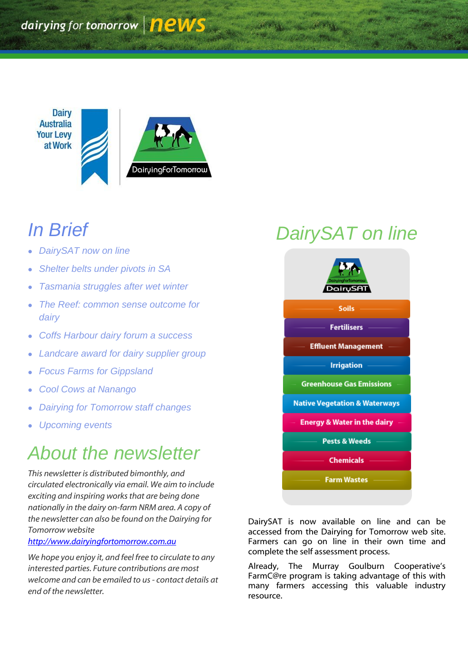dairying for tomorrow  $\sqrt{P^2}$ 



# *In Brief*

- *DairySAT now on line*
- *Shelter belts under pivots in SA*
- *Tasmania struggles after wet winter*
- *The Reef: common sense outcome for dairy*
- *Coffs Harbour dairy forum a success*
- *Landcare award for dairy supplier group*
- *Focus Farms for Gippsland*
- *Cool Cows at Nanango*
- *Dairying for Tomorrow staff changes*
- *Upcoming events*

## *About the newsletter*

*This newsletter is distributed bimonthly, and circulated electronically via email. We aim to include exciting and inspiring works that are being done nationally in the dairy on-farm NRM area. A copy of the newsletter can also be found on the Dairying for Tomorrow website* 

*[http://www.dairyingfortomorrow.com.au](http://www.dairyingfortomorrow.com.au/)* 

*We hope you enjoy it, and feel free to circulate to any interested parties. Future contributions are most welcome and can be emailed to us- contact details at end of the newsletter.*

# *DairySAT on line*



DairySAT is now available on line and can be accessed from the Dairying for Tomorrow web site. Farmers can go on line in their own time and complete the self assessment process.

Already, The Murray Goulburn Cooperative"s FarmC@re program is taking advantage of this with many farmers accessing this valuable industry resource.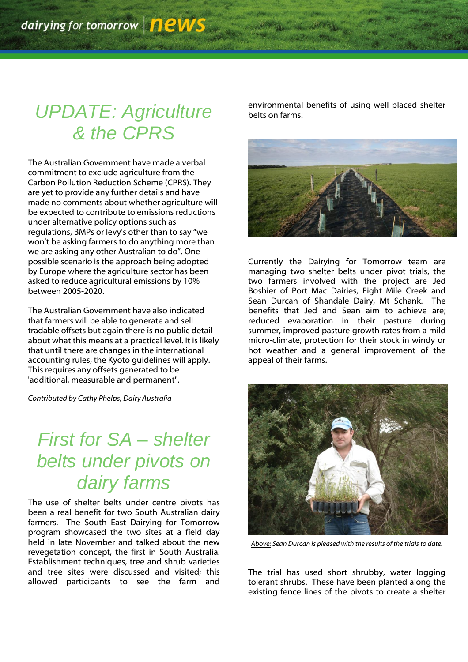# *UPDATE: Agriculture & the CPRS*

The Australian Government have made a verbal commitment to exclude agriculture from the Carbon Pollution Reduction Scheme (CPRS). They are yet to provide any further details and have made no comments about whether agriculture will be expected to contribute to emissions reductions under alternative policy options such as regulations, BMPs or levy's other than to say "we won"t be asking farmers to do anything more than we are asking any other Australian to do". One possible scenario is the approach being adopted by Europe where the agriculture sector has been asked to reduce agricultural emissions by 10% between 2005-2020.

The Australian Government have also indicated that farmers will be able to generate and sell tradable offsets but again there is no public detail about what this means at a practical level. It is likely that until there are changes in the international accounting rules, the Kyoto guidelines will apply. This requires any offsets generated to be 'additional, measurable and permanent".

*Contributed by Cathy Phelps, Dairy Australia*

## *First for SA – shelter belts under pivots on dairy farms*

The use of shelter belts under centre pivots has been a real benefit for two South Australian dairy farmers. The South East Dairying for Tomorrow program showcased the two sites at a field day held in late November and talked about the new revegetation concept, the first in South Australia. Establishment techniques, tree and shrub varieties and tree sites were discussed and visited; this allowed participants to see the farm and

environmental benefits of using well placed shelter belts on farms.



Currently the Dairying for Tomorrow team are managing two shelter belts under pivot trials, the two farmers involved with the project are Jed Boshier of Port Mac Dairies, Eight Mile Creek and Sean Durcan of Shandale Dairy, Mt Schank. The benefits that Jed and Sean aim to achieve are; reduced evaporation in their pasture during summer, improved pasture growth rates from a mild micro-climate, protection for their stock in windy or hot weather and a general improvement of the appeal of their farms.



*Above: Sean Durcan is pleased with the results of the trials to date.*

The trial has used short shrubby, water logging tolerant shrubs. These have been planted along the existing fence lines of the pivots to create a shelter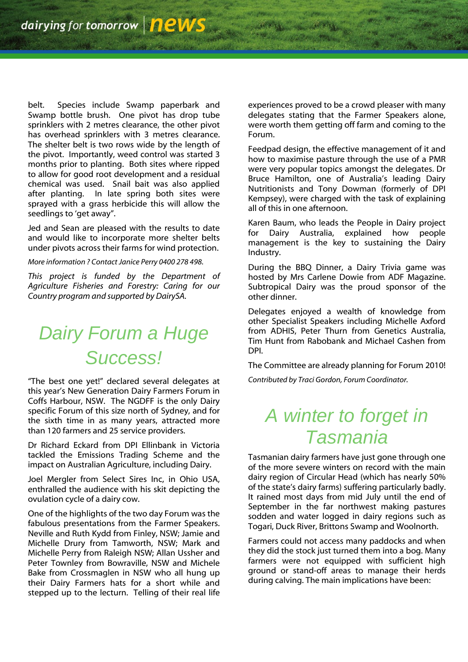belt. Species include Swamp paperbark and Swamp bottle brush. One pivot has drop tube sprinklers with 2 metres clearance, the other pivot has overhead sprinklers with 3 metres clearance. The shelter belt is two rows wide by the length of the pivot. Importantly, weed control was started 3 months prior to planting. Both sites where ripped to allow for good root development and a residual chemical was used. Snail bait was also applied after planting. In late spring both sites were sprayed with a grass herbicide this will allow the seedlings to 'get away".

Jed and Sean are pleased with the results to date and would like to incorporate more shelter belts under pivots across their farms for wind protection.

*More information ? Contact Janice Perry 0400 278 498.*

*This project is funded by the Department of Agriculture Fisheries and Forestry: Caring for our Country program and supported by DairySA.*

# *Dairy Forum a Huge Success!*

"The best one yet!" declared several delegates at this year"s New Generation Dairy Farmers Forum in Coffs Harbour, NSW. The NGDFF is the only Dairy specific Forum of this size north of Sydney, and for the sixth time in as many years, attracted more than 120 farmers and 25 service providers.

Dr Richard Eckard from DPI Ellinbank in Victoria tackled the Emissions Trading Scheme and the impact on Australian Agriculture, including Dairy.

Joel Mergler from Select Sires Inc, in Ohio USA, enthralled the audience with his skit depicting the ovulation cycle of a dairy cow.

One of the highlights of the two day Forum was the fabulous presentations from the Farmer Speakers. Neville and Ruth Kydd from Finley, NSW; Jamie and Michelle Drury from Tamworth, NSW; Mark and Michelle Perry from Raleigh NSW; Allan Ussher and Peter Townley from Bowraville, NSW and Michele Bake from Crossmaglen in NSW who all hung up their Dairy Farmers hats for a short while and stepped up to the lecturn. Telling of their real life experiences proved to be a crowd pleaser with many delegates stating that the Farmer Speakers alone, were worth them getting off farm and coming to the Forum.

Feedpad design, the effective management of it and how to maximise pasture through the use of a PMR were very popular topics amongst the delegates. Dr Bruce Hamilton, one of Australia's leading Dairy Nutritionists and Tony Dowman (formerly of DPI Kempsey), were charged with the task of explaining all of this in one afternoon.

Karen Baum, who leads the People in Dairy project for Dairy Australia, explained how people management is the key to sustaining the Dairy Industry.

During the BBQ Dinner, a Dairy Trivia game was hosted by Mrs Carlene Dowie from ADF Magazine. Subtropical Dairy was the proud sponsor of the other dinner.

Delegates enjoyed a wealth of knowledge from other Specialist Speakers including Michelle Axford from ADHIS, Peter Thurn from Genetics Australia, Tim Hunt from Rabobank and Michael Cashen from DPI.

The Committee are already planning for Forum 2010!

*Contributed by Traci Gordon, Forum Coordinator.*

## *A winter to forget in Tasmania*

Tasmanian dairy farmers have just gone through one of the more severe winters on record with the main dairy region of Circular Head (which has nearly 50% of the state"s dairy farms) suffering particularly badly. It rained most days from mid July until the end of September in the far northwest making pastures sodden and water logged in dairy regions such as Togari, Duck River, Brittons Swamp and Woolnorth.

Farmers could not access many paddocks and when they did the stock just turned them into a bog. Many farmers were not equipped with sufficient high ground or stand-off areas to manage their herds during calving. The main implications have been: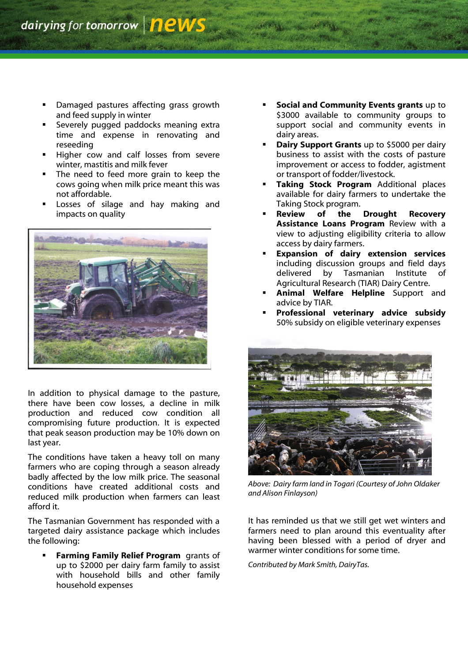- Damaged pastures affecting grass growth and feed supply in winter
- Severely pugged paddocks meaning extra time and expense in renovating and reseeding
- Higher cow and calf losses from severe winter, mastitis and milk fever
- The need to feed more grain to keep the cows going when milk price meant this was not affordable.
- Losses of silage and hay making and impacts on quality



In addition to physical damage to the pasture, there have been cow losses, a decline in milk production and reduced cow condition all compromising future production. It is expected that peak season production may be 10% down on last year.

The conditions have taken a heavy toll on many farmers who are coping through a season already badly affected by the low milk price. The seasonal conditions have created additional costs and reduced milk production when farmers can least afford it.

The Tasmanian Government has responded with a targeted dairy assistance package which includes the following:

 **Farming Family Relief Program** grants of up to \$2000 per dairy farm family to assist with household bills and other family household expenses

- **Social and Community Events grants** up to \$3000 available to community groups to support social and community events in dairy areas.
- **Dairy Support Grants** up to \$5000 per dairy business to assist with the costs of pasture improvement or access to fodder, agistment or transport of fodder/livestock.
- **Taking Stock Program** Additional places available for dairy farmers to undertake the Taking Stock program.
- **Review of the Drought Recovery Assistance Loans Program** Review with a view to adjusting eligibility criteria to allow access by dairy farmers.
- **Expansion of dairy extension services**  including discussion groups and field days delivered by Tasmanian Institute of Agricultural Research (TIAR) Dairy Centre.
- **Animal Welfare Helpline** Support and advice by TIAR.
- **Professional veterinary advice subsidy**  50% subsidy on eligible veterinary expenses



*Above: Dairy farm land in Togari (Courtesy of John Oldaker and Alison Finlayson)* 

It has reminded us that we still get wet winters and farmers need to plan around this eventuality after having been blessed with a period of dryer and warmer winter conditions for some time.

*Contributed by Mark Smith, DairyTas.*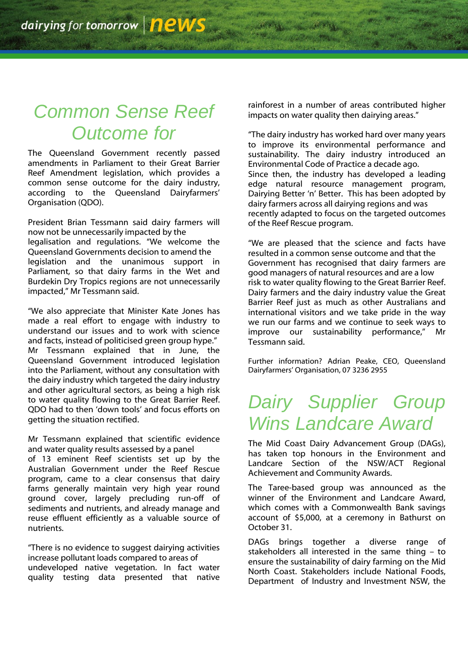## *Common Sense Reef Outcome for*

The Queensland Government recently passed amendments in Parliament to their Great Barrier Reef Amendment legislation, which provides a common sense outcome for the dairy industry, according to the Queensland Dairyfarmers" Organisation (QDO).

President Brian Tessmann said dairy farmers will now not be unnecessarily impacted by the legalisation and regulations. "We welcome the Queensland Governments decision to amend the legislation and the unanimous support in Parliament, so that dairy farms in the Wet and Burdekin Dry Tropics regions are not unnecessarily impacted," Mr Tessmann said.

"We also appreciate that Minister Kate Jones has made a real effort to engage with industry to understand our issues and to work with science and facts, instead of politicised green group hype." Mr Tessmann explained that in June, the Queensland Government introduced legislation into the Parliament, without any consultation with the dairy industry which targeted the dairy industry and other agricultural sectors, as being a high risk to water quality flowing to the Great Barrier Reef. QDO had to then "down tools" and focus efforts on getting the situation rectified.

Mr Tessmann explained that scientific evidence and water quality results assessed by a panel

of 13 eminent Reef scientists set up by the Australian Government under the Reef Rescue program, came to a clear consensus that dairy farms generally maintain very high year round ground cover, largely precluding run-off of sediments and nutrients, and already manage and reuse effluent efficiently as a valuable source of nutrients.

"There is no evidence to suggest dairying activities increase pollutant loads compared to areas of undeveloped native vegetation. In fact water quality testing data presented that native

rainforest in a number of areas contributed higher impacts on water quality then dairying areas."

"The dairy industry has worked hard over many years to improve its environmental performance and sustainability. The dairy industry introduced an Environmental Code of Practice a decade ago. Since then, the industry has developed a leading edge natural resource management program, Dairying Better "n" Better. This has been adopted by dairy farmers across all dairying regions and was recently adapted to focus on the targeted outcomes of the Reef Rescue program.

"We are pleased that the science and facts have resulted in a common sense outcome and that the Government has recognised that dairy farmers are good managers of natural resources and are a low risk to water quality flowing to the Great Barrier Reef. Dairy farmers and the dairy industry value the Great Barrier Reef just as much as other Australians and international visitors and we take pride in the way we run our farms and we continue to seek ways to improve our sustainability performance," Mr Tessmann said.

Further information? Adrian Peake, CEO, Queensland Dairyfarmers" Organisation, 07 3236 2955

## **Dairy Supplier Group** *Wins Landcare Award*

The Mid Coast Dairy Advancement Group (DAGs), has taken top honours in the Environment and Landcare Section of the NSW/ACT Regional Achievement and Community Awards.

The Taree-based group was announced as the winner of the Environment and Landcare Award, which comes with a Commonwealth Bank savings account of \$5,000, at a ceremony in Bathurst on October 31.

DAGs brings together a diverse range of stakeholders all interested in the same thing – to ensure the sustainability of dairy farming on the Mid North Coast. Stakeholders include National Foods, Department of Industry and Investment NSW, the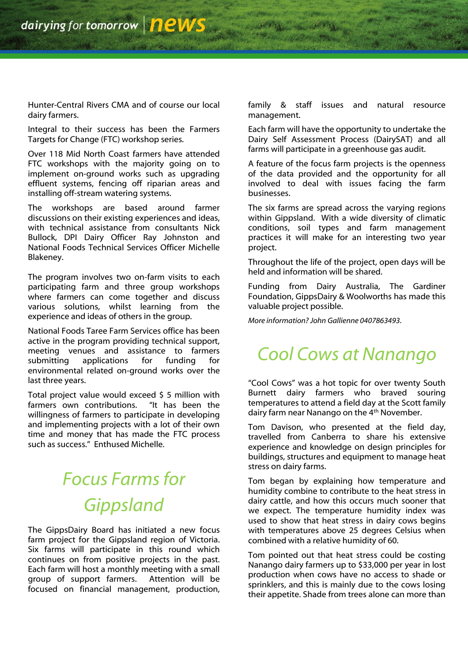Hunter-Central Rivers CMA and of course our local dairy farmers.

Integral to their success has been the Farmers Targets for Change (FTC) workshop series.

Over 118 Mid North Coast farmers have attended FTC workshops with the majority going on to implement on-ground works such as upgrading effluent systems, fencing off riparian areas and installing off-stream watering systems.

The workshops are based around farmer discussions on their existing experiences and ideas, with technical assistance from consultants Nick Bullock, DPI Dairy Officer Ray Johnston and National Foods Technical Services Officer Michelle Blakeney.

The program involves two on-farm visits to each participating farm and three group workshops where farmers can come together and discuss various solutions, whilst learning from the experience and ideas of others in the group.

National Foods Taree Farm Services office has been active in the program providing technical support, meeting venues and assistance to farmers submitting applications for funding for environmental related on-ground works over the last three years.

Total project value would exceed \$ 5 million with farmers own contributions. "It has been the willingness of farmers to participate in developing and implementing projects with a lot of their own time and money that has made the FTC process such as success." Enthused Michelle.

# *Focus Farms for Gippsland*

The GippsDairy Board has initiated a new focus farm project for the Gippsland region of Victoria. Six farms will participate in this round which continues on from positive projects in the past. Each farm will host a monthly meeting with a small group of support farmers. Attention will be focused on financial management, production,

family & staff issues and natural resource management.

Each farm will have the opportunity to undertake the Dairy Self Assessment Process (DairySAT) and all farms will participate in a greenhouse gas audit.

A feature of the focus farm projects is the openness of the data provided and the opportunity for all involved to deal with issues facing the farm businesses.

The six farms are spread across the varying regions within Gippsland. With a wide diversity of climatic conditions, soil types and farm management practices it will make for an interesting two year project.

Throughout the life of the project, open days will be held and information will be shared.

Funding from Dairy Australia, The Gardiner Foundation, GippsDairy & Woolworths has made this valuable project possible.

*More information? John Gallienne 0407863493.*

### *Cool Cows at Nanango*

"Cool Cows" was a hot topic for over twenty South Burnett dairy farmers who braved souring temperatures to attend a field day at the Scott family dairy farm near Nanango on the 4th November.

Tom Davison, who presented at the field day, travelled from Canberra to share his extensive experience and knowledge on design principles for buildings, structures and equipment to manage heat stress on dairy farms.

Tom began by explaining how temperature and humidity combine to contribute to the heat stress in dairy cattle, and how this occurs much sooner that we expect. The temperature humidity index was used to show that heat stress in dairy cows begins with temperatures above 25 degrees Celsius when combined with a relative humidity of 60.

Tom pointed out that heat stress could be costing Nanango dairy farmers up to \$33,000 per year in lost production when cows have no access to shade or sprinklers, and this is mainly due to the cows losing their appetite. Shade from trees alone can more than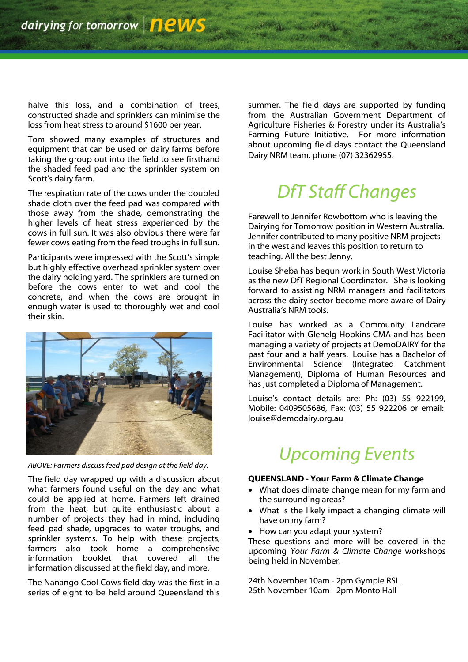halve this loss, and a combination of trees, constructed shade and sprinklers can minimise the loss from heat stress to around \$1600 per year.

Tom showed many examples of structures and equipment that can be used on dairy farms before taking the group out into the field to see firsthand the shaded feed pad and the sprinkler system on Scott"s dairy farm.

The respiration rate of the cows under the doubled shade cloth over the feed pad was compared with those away from the shade, demonstrating the higher levels of heat stress experienced by the cows in full sun. It was also obvious there were far fewer cows eating from the feed troughs in full sun.

Participants were impressed with the Scott's simple but highly effective overhead sprinkler system over the dairy holding yard. The sprinklers are turned on before the cows enter to wet and cool the concrete, and when the cows are brought in enough water is used to thoroughly wet and cool their skin.



*ABOVE: Farmers discuss feed pad design at the field day.*

The field day wrapped up with a discussion about what farmers found useful on the day and what could be applied at home. Farmers left drained from the heat, but quite enthusiastic about a number of projects they had in mind, including feed pad shade, upgrades to water troughs, and sprinkler systems. To help with these projects, farmers also took home a comprehensive information booklet that covered all the information discussed at the field day, and more.

The Nanango Cool Cows field day was the first in a series of eight to be held around Queensland this summer. The field days are supported by funding from the Australian Government Department of Agriculture Fisheries & Forestry under its Australia"s Farming Future Initiative. For more information about upcoming field days contact the Queensland Dairy NRM team, phone (07) 32362955.

# *DfT Staff Changes*

Farewell to Jennifer Rowbottom who is leaving the Dairying for Tomorrow position in Western Australia. Jennifer contributed to many positive NRM projects in the west and leaves this position to return to teaching. All the best Jenny.

Louise Sheba has begun work in South West Victoria as the new DfT Regional Coordinator. She is looking forward to assisting NRM managers and facilitators across the dairy sector become more aware of Dairy Australia"s NRM tools.

Louise has worked as a Community Landcare Facilitator with Glenelg Hopkins CMA and has been managing a variety of projects at DemoDAIRY for the past four and a half years. Louise has a Bachelor of Environmental Science (Integrated Catchment Management), Diploma of Human Resources and has just completed a Diploma of Management.

Louise's contact details are: Ph: (03) 55 922199, Mobile: 0409505686, Fax: (03) 55 922206 or email: [louise@demodairy.org.au](mailto:louise@demodairy.org.au)

### *Upcoming Events*

### **QUEENSLAND - Your Farm & Climate Change**

- What does climate change mean for my farm and the surrounding areas?
- What is the likely impact a changing climate will have on my farm?
- How can you adapt your system?

These questions and more will be covered in the upcoming *Your Farm & Climate Change* workshops being held in November.

24th November 10am - 2pm Gympie RSL 25th November 10am - 2pm Monto Hall